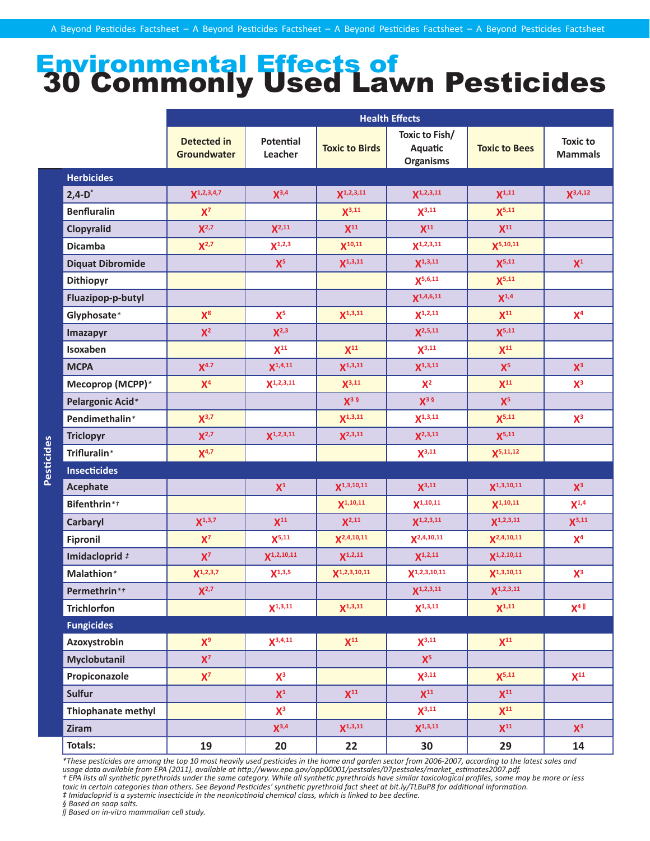## Environmental Effects of 30 Commonly Used Lawn Pesticides

|                         | <b>Health Effects</b>             |                             |                       |                                               |                      |                                   |
|-------------------------|-----------------------------------|-----------------------------|-----------------------|-----------------------------------------------|----------------------|-----------------------------------|
|                         | <b>Detected in</b><br>Groundwater | <b>Potential</b><br>Leacher | <b>Toxic to Birds</b> | Toxic to Fish/<br>Aquatic<br><b>Organisms</b> | <b>Toxic to Bees</b> | <b>Toxic to</b><br><b>Mammals</b> |
| <b>Herbicides</b>       |                                   |                             |                       |                                               |                      |                                   |
| $2,4-D^*$               | $X^{1,2,3,4,7}$                   | $X^{3,4}$                   | $X^{1,2,3,11}$        | $X^{1,2,3,11}$                                | $X^{1,11}$           | $X^{3,4,12}$                      |
| <b>Benfluralin</b>      | $X^7$                             |                             | $X^{3,11}$            | $X^{3,11}$                                    | $X^{5,11}$           |                                   |
| Clopyralid              | $X^{2,7}$                         | $X^{2,11}$                  | $X^{11}$              | $X^{11}$                                      | $X^{11}$             |                                   |
| <b>Dicamba</b>          | $X^{2,7}$                         | $X^{1,2,3}$                 | $X^{10,11}$           | $X^{1,2,3,11}$                                | $X^{5,10,11}$        |                                   |
| <b>Diquat Dibromide</b> |                                   | $X^5$                       | $X^{1,3,11}$          | $X^{1,3,11}$                                  | $X^{5,11}$           | $X^1$                             |
| Dithiopyr               |                                   |                             |                       | $X^{5,6,11}$                                  | $X^{5,11}$           |                                   |
| Fluazipop-p-butyl       |                                   |                             |                       | $X^{1,4,6,11}$                                | $X^{1,4}$            |                                   |
| Glyphosate*             | $X^8$                             | $X^5$                       | $X^{1,3,11}$          | $X^{1,2,11}$                                  | $X^{11}$             | X <sup>4</sup>                    |
| <b>Imazapyr</b>         | $X^2$                             | $X^{2,3}$                   |                       | $X^{2,5,11}$                                  | $X^{5,11}$           |                                   |
| Isoxaben                |                                   | $X^{11}$                    | $X^{11}$              | $X^{3,11}$                                    | $X^{11}$             |                                   |
| <b>MCPA</b>             | X <sup>4.7</sup>                  | $X^{1,4,11}$                | $X^{1,3,11}$          | $X^{1,3,11}$                                  | $X^5$                | $X^3$                             |
| Mecoprop (MCPP)*        | $X^4$                             | $X^{1,2,3,11}$              | $X^{3,11}$            | $X^2$                                         | $X^{11}$             | $X^3$                             |
| Pelargonic Acid*        |                                   |                             | $X^3$ $\frac{6}{7}$   | $X^3$ §                                       | $X^5$                |                                   |
| Pendimethalin*          | $X^{3,7}$                         |                             | $X^{1,3,11}$          | $X^{1,3,11}$                                  | $X^{5,11}$           | $X^3$                             |
| <b>Triclopyr</b>        | $X^{2,7}$                         | $X^{1,2,3,11}$              | $X^{2,3,11}$          | $X^{2,3,11}$                                  | $X^{5,11}$           |                                   |
| Trifluralin*            | $X^{4,7}$                         |                             |                       | $X^{3,11}$                                    | $X^{5,11,12}$        |                                   |
| <b>Insecticides</b>     |                                   |                             |                       |                                               |                      |                                   |
| <b>Acephate</b>         |                                   | ${\sf X}^1$                 | $X^{1,3,10,11}$       | $X^{3,11}$                                    | $X^{1,3,10,11}$      | $X^3$                             |
| Bifenthrin*t            |                                   |                             | $X^{1,10,11}$         | $X^{1,10,11}$                                 | $X^{1,10,11}$        | $X^{1,4}$                         |
| Carbaryl                | $X^{1,3,7}$                       | $X^{11}$                    | $X^{2,11}$            | $X^{1,2,3,11}$                                | $X^{1,2,3,11}$       | $X^{3,11}$                        |
| <b>Fipronil</b>         | $X^7$                             | $X^{5,11}$                  | $X^{2,4,10,11}$       | $X^{2,4,10,11}$                               | $X^{2,4,10,11}$      | X <sup>4</sup>                    |
| Imidacloprid #          | $X^7$                             | $X^{1,2,10,11}$             | $X^{1,2,11}$          | $X^{1,2,11}$                                  | $X^{1,2,10,11}$      |                                   |
| Malathion*              | $X^{1,2,3,7}$                     | $X^{1,3,5}$                 | $X^{1,2,3,10,11}$     | $X^{1,2,3,10,11}$                             | $X^{1,3,10,11}$      | $X^3$                             |
| Permethrin*t            | $X^{2,7}$                         |                             |                       | $X^{1,2,3,11}$                                | $X^{1,2,3,11}$       |                                   |
| <b>Trichlorfon</b>      |                                   | $X^{1,3,11}$                | $X^{1,3,11}$          | $X^{1,3,11}$                                  | $X^{1,11}$           | $X^4$ $\parallel$                 |
| <b>Fungicides</b>       |                                   |                             |                       |                                               |                      |                                   |
| Azoxystrobin            | $X^9$                             | $X^{3,4,11}$                | $X^{11}$              | $X^{3,11}$                                    | $X^{11}$             |                                   |
| Myclobutanil            | $X^7$                             |                             |                       | $X^5$                                         |                      |                                   |
| Propiconazole           | $X^7$                             | $X^3$                       |                       | $X^{3,11}$                                    | $X^{5,11}$           | $X^{11}$                          |
| <b>Sulfur</b>           |                                   | $X^1$                       | $X^{11}$              | $X^{11}$                                      | $X^{11}$             |                                   |
| Thiophanate methyl      |                                   | $X^3$                       |                       | $X^{3,11}$                                    | $X^{11}$             |                                   |
| Ziram                   |                                   | $X^{3,4}$                   | $X^{1,3,11}$          | $X^{1,3,11}$                                  | $X^{11}$             | $X^3$                             |
| Totals:                 | 19                                | 20                          | 22                    | 30                                            | 29                   | 14                                |

*\*These pesticides are among the top 10 most heavily used pesticides in the home and garden sector from 2006-2007, according to the latest sales and usage data available from EPA (2011), available at http://www.epa.gov/opp00001/pestsales/07pestsales/market\_estimates2007.pdf. † EPA lists all synthetic pyrethroids under the same category. While all synthetic pyrethroids have similar toxicological profiles, some may be more or less toxic in certain categories than others. See Beyond Pesticides' synthetic pyrethroid fact sheet at bit.ly/TLBuP8 for additional information. ‡ Imidacloprid is a systemic insecticide in the neonicotinoid chemical class, which is linked to bee decline.* 

*§ Based on soap salts.*

*‖ Based on in-vitro mammalian cell study.*